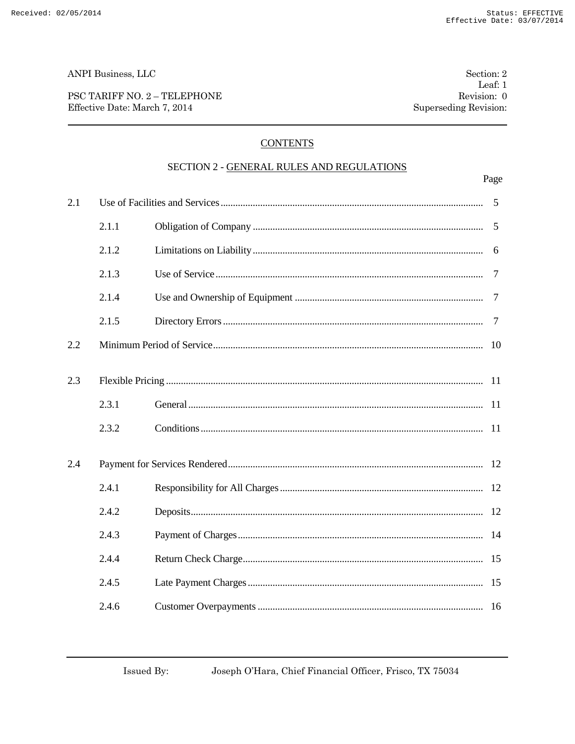ANPI Business, LLC

PSC TARIFF NO. 2 - TELEPHONE Effective Date: March 7, 2014

# **CONTENTS**

### SECTION 2 - GENERAL RULES AND REGULATIONS

|     |       |                       | Page           |
|-----|-------|-----------------------|----------------|
| 2.1 |       |                       | 5              |
|     | 2.1.1 |                       | 5              |
|     | 2.1.2 |                       | 6              |
|     | 2.1.3 |                       | 7              |
|     | 2.1.4 |                       | $\overline{7}$ |
|     | 2.1.5 |                       | 7              |
| 2.2 |       |                       | 10             |
| 2.3 |       |                       | -11            |
|     | 2.3.1 |                       | -11            |
|     | 2.3.2 |                       | <sup>11</sup>  |
| 2.4 |       |                       |                |
|     | 2.4.1 |                       |                |
|     | 2.4.2 |                       | 12             |
|     | 2.4.3 |                       |                |
|     | 2.4.4 |                       | 15             |
|     | 2.4.5 |                       | 15             |
|     | 246   | Customer Overnayments | 16             |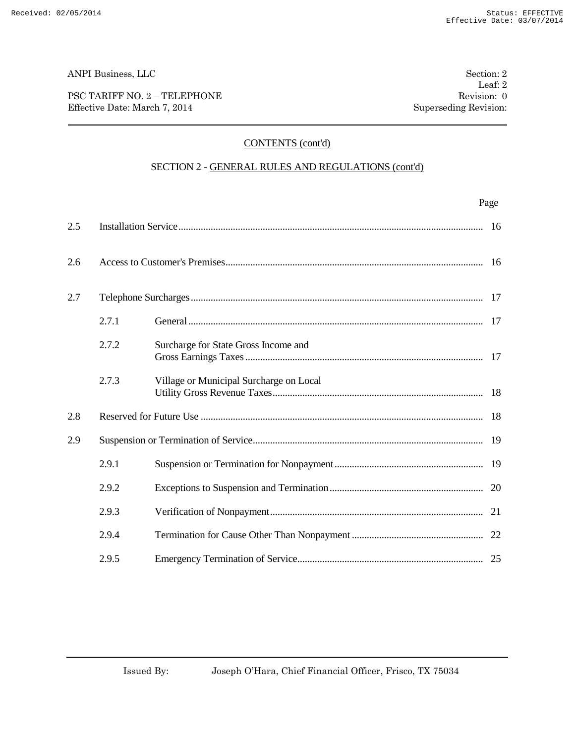### PSC TARIFF NO. 2 – TELEPHONE Revision: 0 Effective Date: March 7, 2014 Superseding Revision:

# CONTENTS (cont'd)

# SECTION 2 - GENERAL RULES AND REGULATIONS (cont'd)

|     |       |                                         | Page |
|-----|-------|-----------------------------------------|------|
| 2.5 |       |                                         | 16   |
| 2.6 |       |                                         |      |
| 2.7 |       |                                         |      |
|     | 2.7.1 |                                         | 17   |
|     | 2.7.2 | Surcharge for State Gross Income and    |      |
|     | 2.7.3 | Village or Municipal Surcharge on Local |      |
| 2.8 |       |                                         | 18   |
| 2.9 |       |                                         | 19   |
|     | 2.9.1 |                                         |      |
|     | 2.9.2 |                                         |      |
|     | 2.9.3 |                                         |      |
|     | 2.9.4 |                                         |      |
|     | 2.9.5 |                                         |      |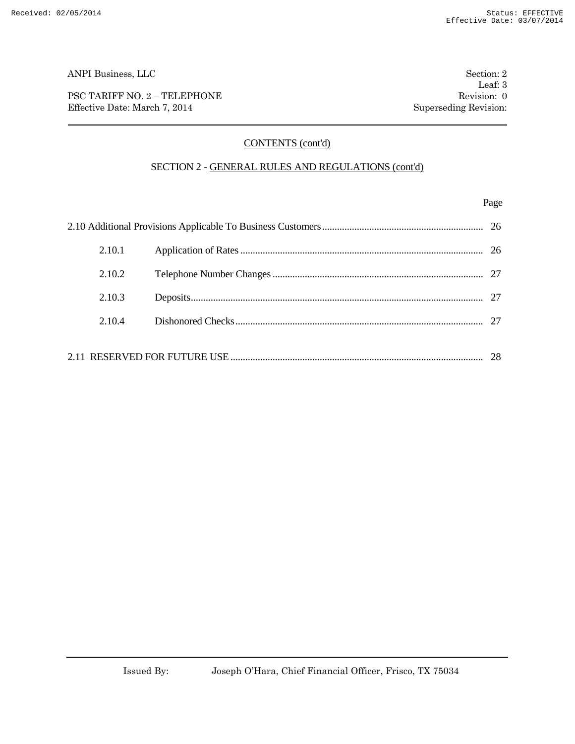PSC TARIFF NO. 2 – TELEPHONE Revision: 0 Effective Date: March 7, 2014 Superseding Revision:

# CONTENTS (cont'd)

### SECTION 2 - GENERAL RULES AND REGULATIONS (cont'd)

### Page

| 2.10.1 |  |  |  |  |
|--------|--|--|--|--|
| 2.10.2 |  |  |  |  |
| 2.10.3 |  |  |  |  |
| 2.104  |  |  |  |  |
| -28    |  |  |  |  |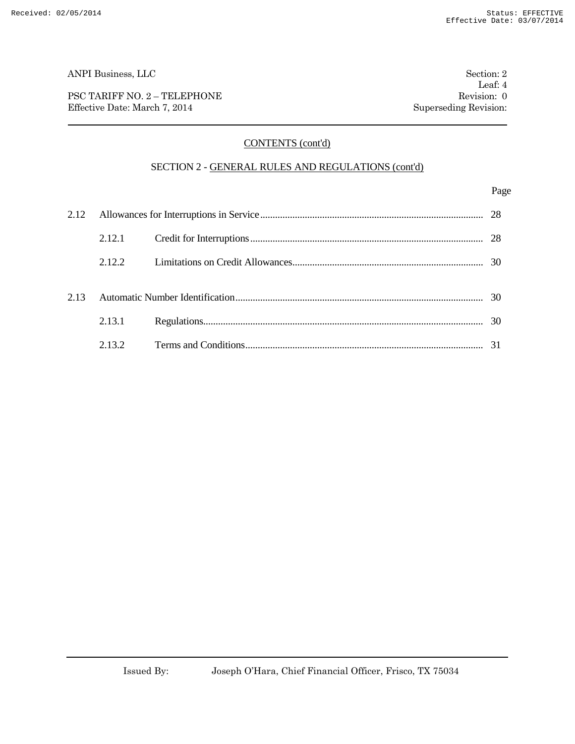PSC TARIFF NO. 2 – TELEPHONE Revision: 0 Effective Date: March 7, 2014 Superseding Revision:

# CONTENTS (cont'd)

### SECTION 2 - GENERAL RULES AND REGULATIONS (cont'd)

### Page

|      | 2.12.1 |  |    |
|------|--------|--|----|
|      | 2.12.2 |  |    |
| 2.13 |        |  |    |
|      | 2.13.1 |  | 30 |
|      | 2.132  |  |    |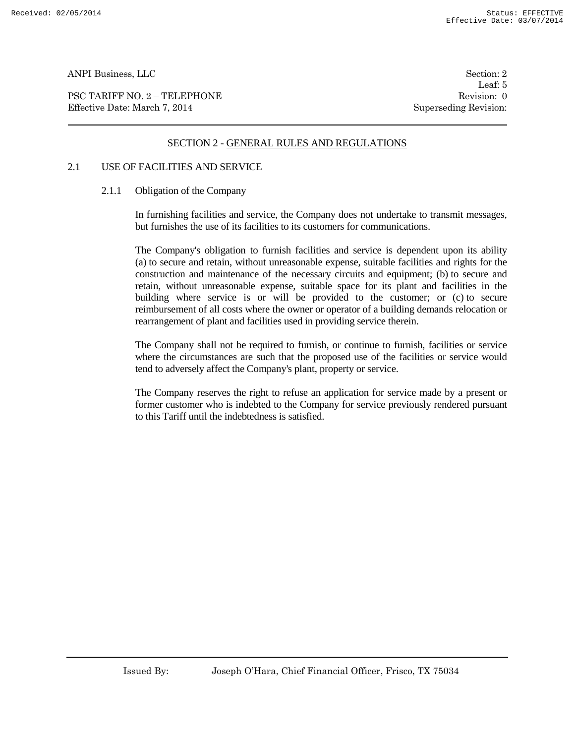PSC TARIFF NO. 2 – TELEPHONE Revision: 0 Effective Date: March 7, 2014 Superseding Revision:

Leaf: 5

### SECTION 2 - GENERAL RULES AND REGULATIONS

# 2.1 USE OF FACILITIES AND SERVICE

### 2.1.1 Obligation of the Company

In furnishing facilities and service, the Company does not undertake to transmit messages, but furnishes the use of its facilities to its customers for communications.

The Company's obligation to furnish facilities and service is dependent upon its ability (a) to secure and retain, without unreasonable expense, suitable facilities and rights for the construction and maintenance of the necessary circuits and equipment; (b) to secure and retain, without unreasonable expense, suitable space for its plant and facilities in the building where service is or will be provided to the customer; or (c) to secure reimbursement of all costs where the owner or operator of a building demands relocation or rearrangement of plant and facilities used in providing service therein.

The Company shall not be required to furnish, or continue to furnish, facilities or service where the circumstances are such that the proposed use of the facilities or service would tend to adversely affect the Company's plant, property or service.

The Company reserves the right to refuse an application for service made by a present or former customer who is indebted to the Company for service previously rendered pursuant to this Tariff until the indebtedness is satisfied.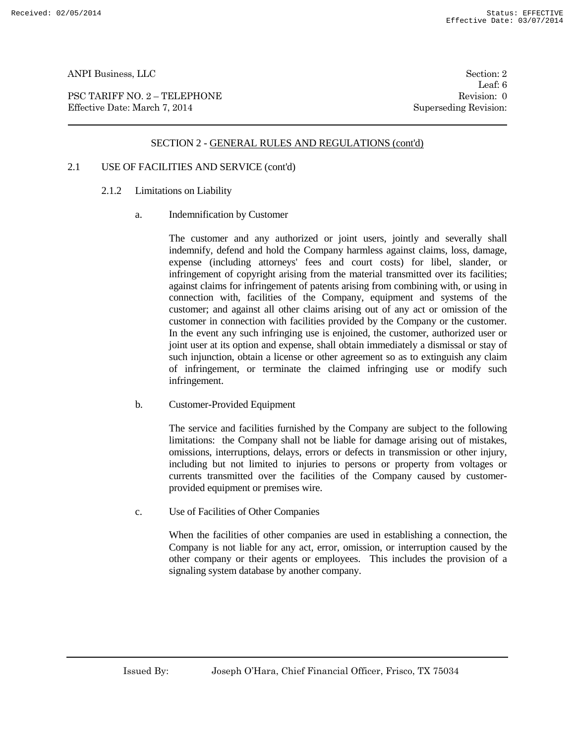PSC TARIFF NO. 2 – TELEPHONE Revision: 0 Effective Date: March 7, 2014 Superseding Revision:

Leaf: 6

# SECTION 2 - GENERAL RULES AND REGULATIONS (cont'd)

# 2.1 USE OF FACILITIES AND SERVICE (cont'd)

- 2.1.2 Limitations on Liability
	- a. Indemnification by Customer

The customer and any authorized or joint users, jointly and severally shall indemnify, defend and hold the Company harmless against claims, loss, damage, expense (including attorneys' fees and court costs) for libel, slander, or infringement of copyright arising from the material transmitted over its facilities; against claims for infringement of patents arising from combining with, or using in connection with, facilities of the Company, equipment and systems of the customer; and against all other claims arising out of any act or omission of the customer in connection with facilities provided by the Company or the customer. In the event any such infringing use is enjoined, the customer, authorized user or joint user at its option and expense, shall obtain immediately a dismissal or stay of such injunction, obtain a license or other agreement so as to extinguish any claim of infringement, or terminate the claimed infringing use or modify such infringement.

b. Customer-Provided Equipment

The service and facilities furnished by the Company are subject to the following limitations: the Company shall not be liable for damage arising out of mistakes, omissions, interruptions, delays, errors or defects in transmission or other injury, including but not limited to injuries to persons or property from voltages or currents transmitted over the facilities of the Company caused by customerprovided equipment or premises wire.

c. Use of Facilities of Other Companies

When the facilities of other companies are used in establishing a connection, the Company is not liable for any act, error, omission, or interruption caused by the other company or their agents or employees. This includes the provision of a signaling system database by another company.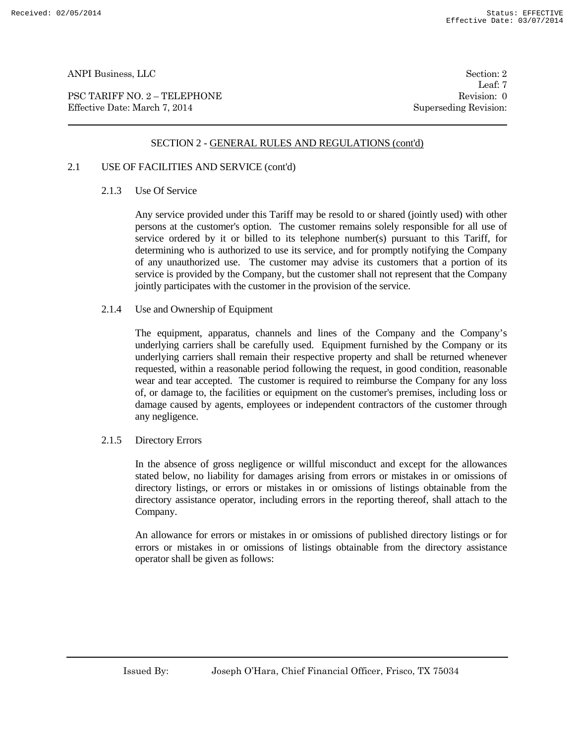PSC TARIFF NO. 2 – TELEPHONE Revision: 0 Effective Date: March 7, 2014 Superseding Revision:

Leaf: 7

### SECTION 2 - GENERAL RULES AND REGULATIONS (cont'd)

# 2.1 USE OF FACILITIES AND SERVICE (cont'd)

### 2.1.3 Use Of Service

Any service provided under this Tariff may be resold to or shared (jointly used) with other persons at the customer's option. The customer remains solely responsible for all use of service ordered by it or billed to its telephone number(s) pursuant to this Tariff, for determining who is authorized to use its service, and for promptly notifying the Company of any unauthorized use. The customer may advise its customers that a portion of its service is provided by the Company, but the customer shall not represent that the Company jointly participates with the customer in the provision of the service.

#### 2.1.4 Use and Ownership of Equipment

The equipment, apparatus, channels and lines of the Company and the Company's underlying carriers shall be carefully used. Equipment furnished by the Company or its underlying carriers shall remain their respective property and shall be returned whenever requested, within a reasonable period following the request, in good condition, reasonable wear and tear accepted. The customer is required to reimburse the Company for any loss of, or damage to, the facilities or equipment on the customer's premises, including loss or damage caused by agents, employees or independent contractors of the customer through any negligence.

#### 2.1.5 Directory Errors

In the absence of gross negligence or willful misconduct and except for the allowances stated below, no liability for damages arising from errors or mistakes in or omissions of directory listings, or errors or mistakes in or omissions of listings obtainable from the directory assistance operator, including errors in the reporting thereof, shall attach to the Company.

An allowance for errors or mistakes in or omissions of published directory listings or for errors or mistakes in or omissions of listings obtainable from the directory assistance operator shall be given as follows: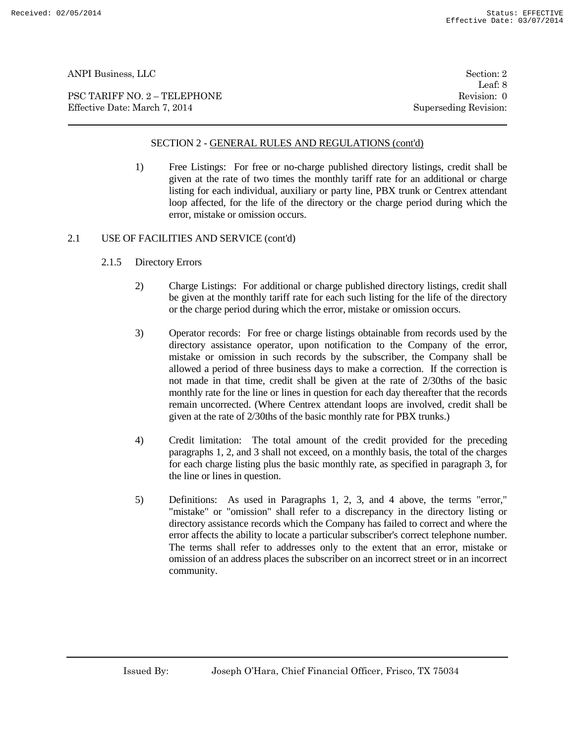PSC TARIFF NO. 2 – TELEPHONE Revision: 0 Effective Date: March 7, 2014 Superseding Revision:

Leaf: 8

# SECTION 2 - GENERAL RULES AND REGULATIONS (cont'd)

1) Free Listings: For free or no-charge published directory listings, credit shall be given at the rate of two times the monthly tariff rate for an additional or charge listing for each individual, auxiliary or party line, PBX trunk or Centrex attendant loop affected, for the life of the directory or the charge period during which the error, mistake or omission occurs.

### 2.1 USE OF FACILITIES AND SERVICE (cont'd)

- 2.1.5 Directory Errors
	- 2) Charge Listings: For additional or charge published directory listings, credit shall be given at the monthly tariff rate for each such listing for the life of the directory or the charge period during which the error, mistake or omission occurs.
	- 3) Operator records: For free or charge listings obtainable from records used by the directory assistance operator, upon notification to the Company of the error, mistake or omission in such records by the subscriber, the Company shall be allowed a period of three business days to make a correction. If the correction is not made in that time, credit shall be given at the rate of 2/30ths of the basic monthly rate for the line or lines in question for each day thereafter that the records remain uncorrected. (Where Centrex attendant loops are involved, credit shall be given at the rate of 2/30ths of the basic monthly rate for PBX trunks.)
	- 4) Credit limitation: The total amount of the credit provided for the preceding paragraphs 1, 2, and 3 shall not exceed, on a monthly basis, the total of the charges for each charge listing plus the basic monthly rate, as specified in paragraph 3, for the line or lines in question.
	- 5) Definitions: As used in Paragraphs 1, 2, 3, and 4 above, the terms "error," "mistake" or "omission" shall refer to a discrepancy in the directory listing or directory assistance records which the Company has failed to correct and where the error affects the ability to locate a particular subscriber's correct telephone number. The terms shall refer to addresses only to the extent that an error, mistake or omission of an address places the subscriber on an incorrect street or in an incorrect community.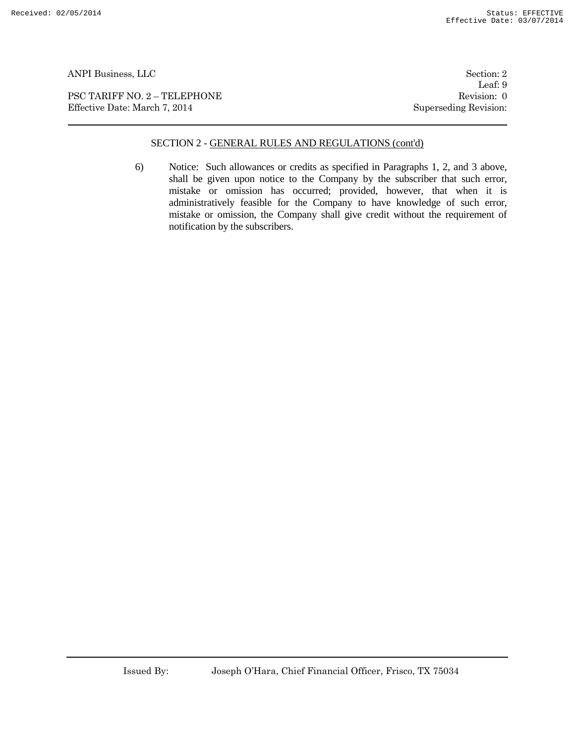PSC TARIFF NO. 2 – TELEPHONE Revision: 0 Effective Date: March 7, 2014 Superseding Revision:

Leaf: 9

### SECTION 2 - GENERAL RULES AND REGULATIONS (cont'd)

6) Notice: Such allowances or credits as specified in Paragraphs 1, 2, and 3 above, shall be given upon notice to the Company by the subscriber that such error, mistake or omission has occurred; provided, however, that when it is administratively feasible for the Company to have knowledge of such error, mistake or omission, the Company shall give credit without the requirement of notification by the subscribers.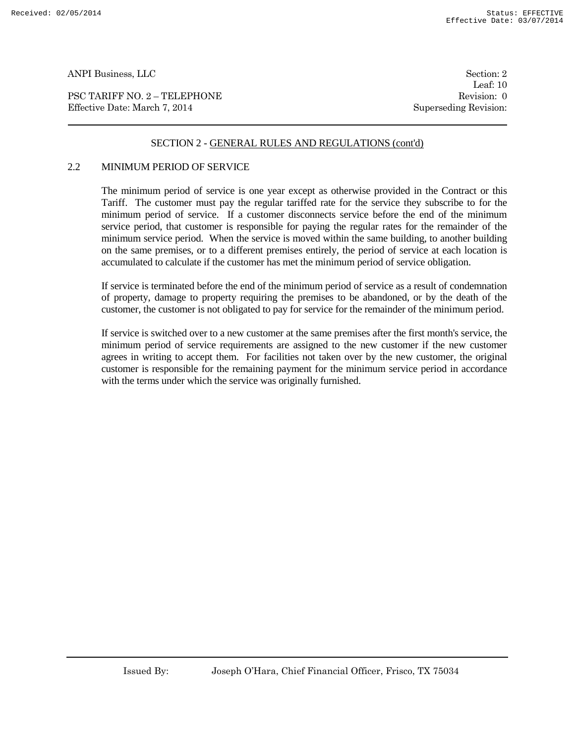PSC TARIFF NO. 2 – TELEPHONE Revision: 0 Effective Date: March 7, 2014 Superseding Revision:

Leaf: 10

# SECTION 2 - GENERAL RULES AND REGULATIONS (cont'd)

#### 2.2 MINIMUM PERIOD OF SERVICE

The minimum period of service is one year except as otherwise provided in the Contract or this Tariff. The customer must pay the regular tariffed rate for the service they subscribe to for the minimum period of service. If a customer disconnects service before the end of the minimum service period, that customer is responsible for paying the regular rates for the remainder of the minimum service period. When the service is moved within the same building, to another building on the same premises, or to a different premises entirely, the period of service at each location is accumulated to calculate if the customer has met the minimum period of service obligation.

If service is terminated before the end of the minimum period of service as a result of condemnation of property, damage to property requiring the premises to be abandoned, or by the death of the customer, the customer is not obligated to pay for service for the remainder of the minimum period.

If service is switched over to a new customer at the same premises after the first month's service, the minimum period of service requirements are assigned to the new customer if the new customer agrees in writing to accept them. For facilities not taken over by the new customer, the original customer is responsible for the remaining payment for the minimum service period in accordance with the terms under which the service was originally furnished.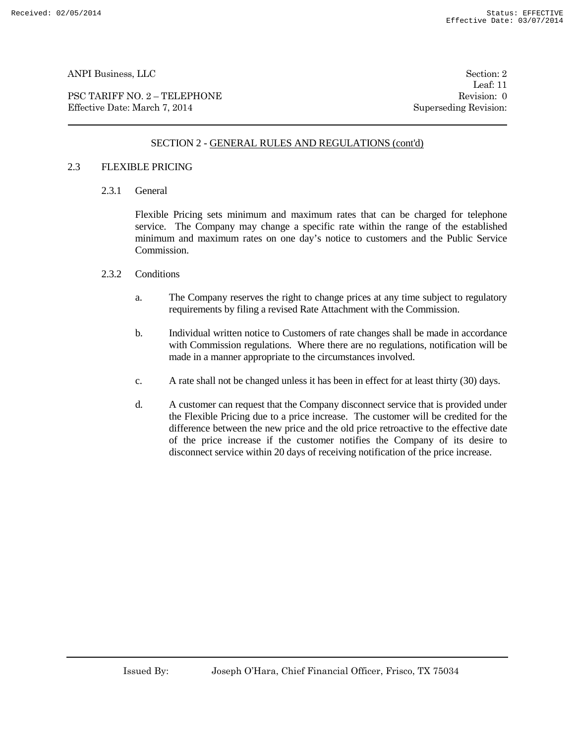PSC TARIFF NO. 2 – TELEPHONE Revision: 0 Effective Date: March 7, 2014 Superseding Revision:

Leaf: 11

# SECTION 2 - GENERAL RULES AND REGULATIONS (cont'd)

#### 2.3 FLEXIBLE PRICING

2.3.1 General

Flexible Pricing sets minimum and maximum rates that can be charged for telephone service. The Company may change a specific rate within the range of the established minimum and maximum rates on one day's notice to customers and the Public Service Commission.

#### 2.3.2 Conditions

- a. The Company reserves the right to change prices at any time subject to regulatory requirements by filing a revised Rate Attachment with the Commission.
- b. Individual written notice to Customers of rate changes shall be made in accordance with Commission regulations. Where there are no regulations, notification will be made in a manner appropriate to the circumstances involved.
- c. A rate shall not be changed unless it has been in effect for at least thirty (30) days.
- d. A customer can request that the Company disconnect service that is provided under the Flexible Pricing due to a price increase. The customer will be credited for the difference between the new price and the old price retroactive to the effective date of the price increase if the customer notifies the Company of its desire to disconnect service within 20 days of receiving notification of the price increase.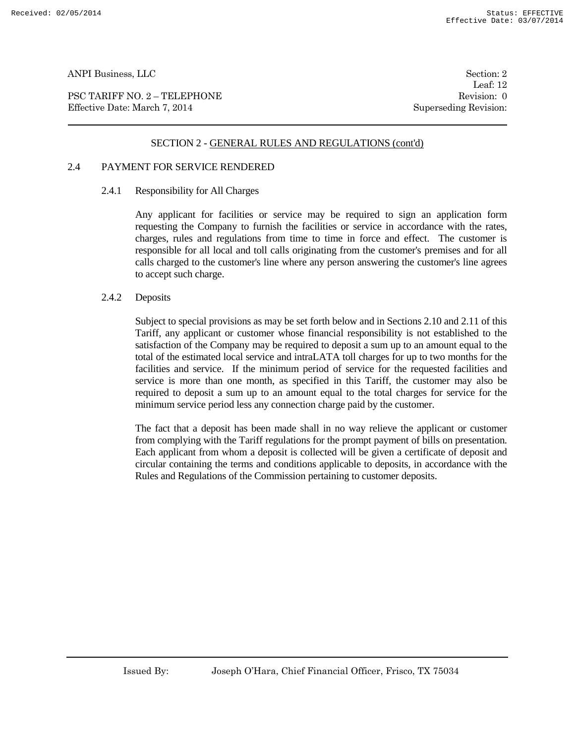PSC TARIFF NO. 2 – TELEPHONE Revision: 0 Effective Date: March 7, 2014 Superseding Revision:

Leaf: 12

### SECTION 2 - GENERAL RULES AND REGULATIONS (cont'd)

### 2.4 PAYMENT FOR SERVICE RENDERED

### 2.4.1 Responsibility for All Charges

Any applicant for facilities or service may be required to sign an application form requesting the Company to furnish the facilities or service in accordance with the rates, charges, rules and regulations from time to time in force and effect. The customer is responsible for all local and toll calls originating from the customer's premises and for all calls charged to the customer's line where any person answering the customer's line agrees to accept such charge.

#### 2.4.2 Deposits

Subject to special provisions as may be set forth below and in Sections 2.10 and 2.11 of this Tariff, any applicant or customer whose financial responsibility is not established to the satisfaction of the Company may be required to deposit a sum up to an amount equal to the total of the estimated local service and intraLATA toll charges for up to two months for the facilities and service. If the minimum period of service for the requested facilities and service is more than one month, as specified in this Tariff, the customer may also be required to deposit a sum up to an amount equal to the total charges for service for the minimum service period less any connection charge paid by the customer.

The fact that a deposit has been made shall in no way relieve the applicant or customer from complying with the Tariff regulations for the prompt payment of bills on presentation. Each applicant from whom a deposit is collected will be given a certificate of deposit and circular containing the terms and conditions applicable to deposits, in accordance with the Rules and Regulations of the Commission pertaining to customer deposits.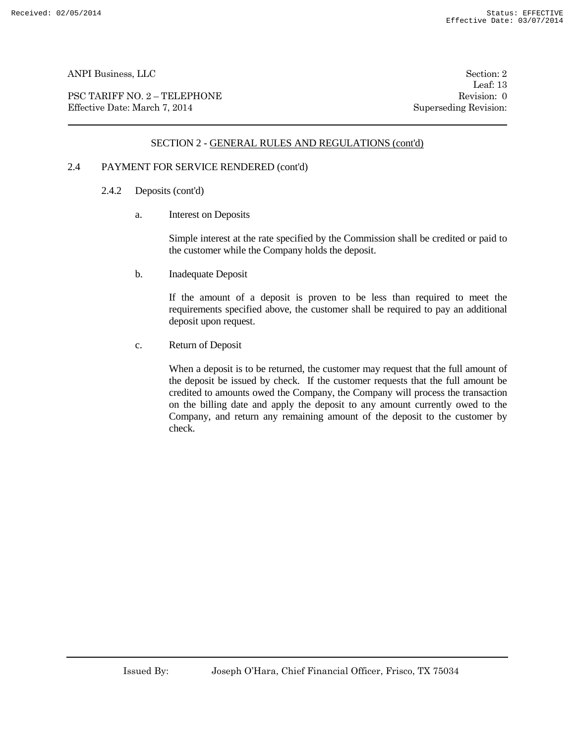PSC TARIFF NO. 2 – TELEPHONE Revision: 0 Effective Date: March 7, 2014 Superseding Revision:

Leaf: 13

# SECTION 2 - GENERAL RULES AND REGULATIONS (cont'd)

# 2.4 PAYMENT FOR SERVICE RENDERED (cont'd)

- 2.4.2 Deposits (cont'd)
	- a. Interest on Deposits

Simple interest at the rate specified by the Commission shall be credited or paid to the customer while the Company holds the deposit.

b. Inadequate Deposit

If the amount of a deposit is proven to be less than required to meet the requirements specified above, the customer shall be required to pay an additional deposit upon request.

c. Return of Deposit

When a deposit is to be returned, the customer may request that the full amount of the deposit be issued by check. If the customer requests that the full amount be credited to amounts owed the Company, the Company will process the transaction on the billing date and apply the deposit to any amount currently owed to the Company, and return any remaining amount of the deposit to the customer by check.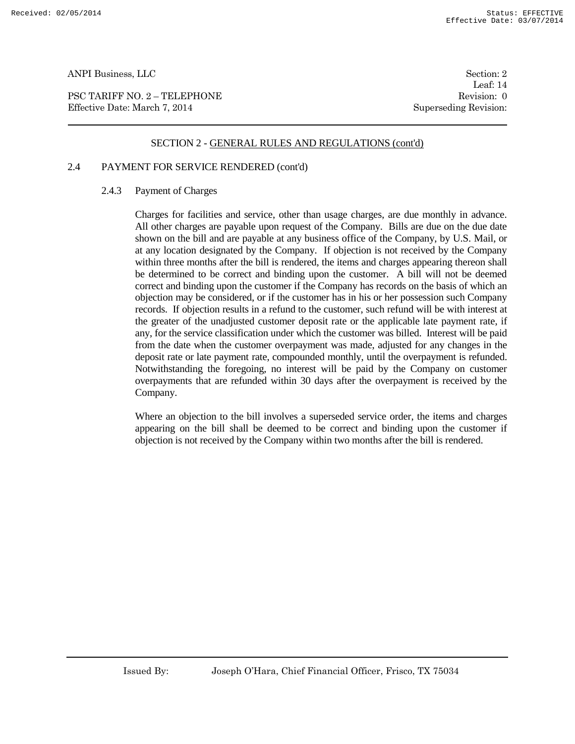PSC TARIFF NO. 2 – TELEPHONE Revision: 0 Effective Date: March 7, 2014 Superseding Revision:

Leaf: 14

### SECTION 2 - GENERAL RULES AND REGULATIONS (cont'd)

# 2.4 PAYMENT FOR SERVICE RENDERED (cont'd)

### 2.4.3 Payment of Charges

Charges for facilities and service, other than usage charges, are due monthly in advance. All other charges are payable upon request of the Company. Bills are due on the due date shown on the bill and are payable at any business office of the Company, by U.S. Mail, or at any location designated by the Company. If objection is not received by the Company within three months after the bill is rendered, the items and charges appearing thereon shall be determined to be correct and binding upon the customer. A bill will not be deemed correct and binding upon the customer if the Company has records on the basis of which an objection may be considered, or if the customer has in his or her possession such Company records. If objection results in a refund to the customer, such refund will be with interest at the greater of the unadjusted customer deposit rate or the applicable late payment rate, if any, for the service classification under which the customer was billed. Interest will be paid from the date when the customer overpayment was made, adjusted for any changes in the deposit rate or late payment rate, compounded monthly, until the overpayment is refunded. Notwithstanding the foregoing, no interest will be paid by the Company on customer overpayments that are refunded within 30 days after the overpayment is received by the Company.

Where an objection to the bill involves a superseded service order, the items and charges appearing on the bill shall be deemed to be correct and binding upon the customer if objection is not received by the Company within two months after the bill is rendered.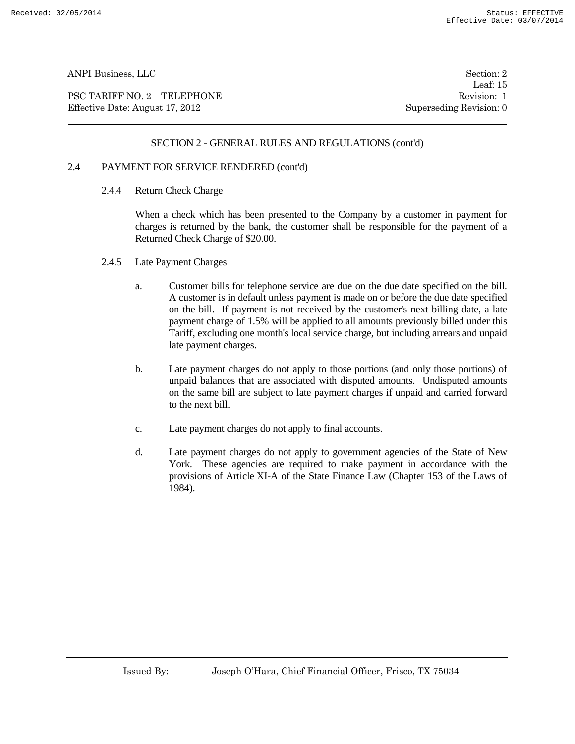PSC TARIFF NO. 2 – TELEPHONE Revision: 1 Effective Date: August 17, 2012 Superseding Revision: 0

Leaf: 15

# SECTION 2 - GENERAL RULES AND REGULATIONS (cont'd)

# 2.4 PAYMENT FOR SERVICE RENDERED (cont'd)

2.4.4 Return Check Charge

When a check which has been presented to the Company by a customer in payment for charges is returned by the bank, the customer shall be responsible for the payment of a Returned Check Charge of \$20.00.

- 2.4.5 Late Payment Charges
	- a. Customer bills for telephone service are due on the due date specified on the bill. A customer is in default unless payment is made on or before the due date specified on the bill. If payment is not received by the customer's next billing date, a late payment charge of 1.5% will be applied to all amounts previously billed under this Tariff, excluding one month's local service charge, but including arrears and unpaid late payment charges.
	- b. Late payment charges do not apply to those portions (and only those portions) of unpaid balances that are associated with disputed amounts. Undisputed amounts on the same bill are subject to late payment charges if unpaid and carried forward to the next bill.
	- c. Late payment charges do not apply to final accounts.
	- d. Late payment charges do not apply to government agencies of the State of New York. These agencies are required to make payment in accordance with the provisions of Article XI-A of the State Finance Law (Chapter 153 of the Laws of 1984).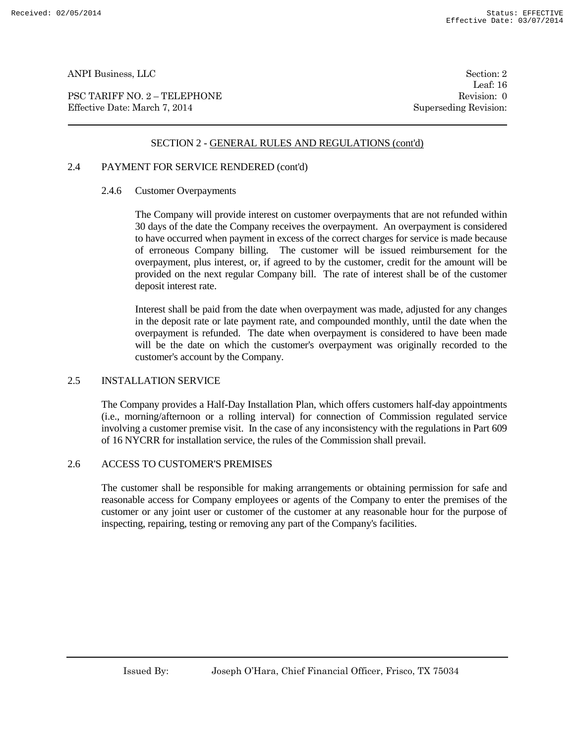PSC TARIFF NO. 2 – TELEPHONE Revision: 0 Effective Date: March 7, 2014 Superseding Revision:

Leaf: 16

# SECTION 2 - GENERAL RULES AND REGULATIONS (cont'd)

# 2.4 PAYMENT FOR SERVICE RENDERED (cont'd)

#### 2.4.6 Customer Overpayments

The Company will provide interest on customer overpayments that are not refunded within 30 days of the date the Company receives the overpayment. An overpayment is considered to have occurred when payment in excess of the correct charges for service is made because of erroneous Company billing. The customer will be issued reimbursement for the overpayment, plus interest, or, if agreed to by the customer, credit for the amount will be provided on the next regular Company bill. The rate of interest shall be of the customer deposit interest rate.

Interest shall be paid from the date when overpayment was made, adjusted for any changes in the deposit rate or late payment rate, and compounded monthly, until the date when the overpayment is refunded. The date when overpayment is considered to have been made will be the date on which the customer's overpayment was originally recorded to the customer's account by the Company.

#### 2.5 INSTALLATION SERVICE

The Company provides a Half-Day Installation Plan, which offers customers half-day appointments (i.e., morning/afternoon or a rolling interval) for connection of Commission regulated service involving a customer premise visit. In the case of any inconsistency with the regulations in Part 609 of 16 NYCRR for installation service, the rules of the Commission shall prevail.

#### 2.6 ACCESS TO CUSTOMER'S PREMISES

The customer shall be responsible for making arrangements or obtaining permission for safe and reasonable access for Company employees or agents of the Company to enter the premises of the customer or any joint user or customer of the customer at any reasonable hour for the purpose of inspecting, repairing, testing or removing any part of the Company's facilities.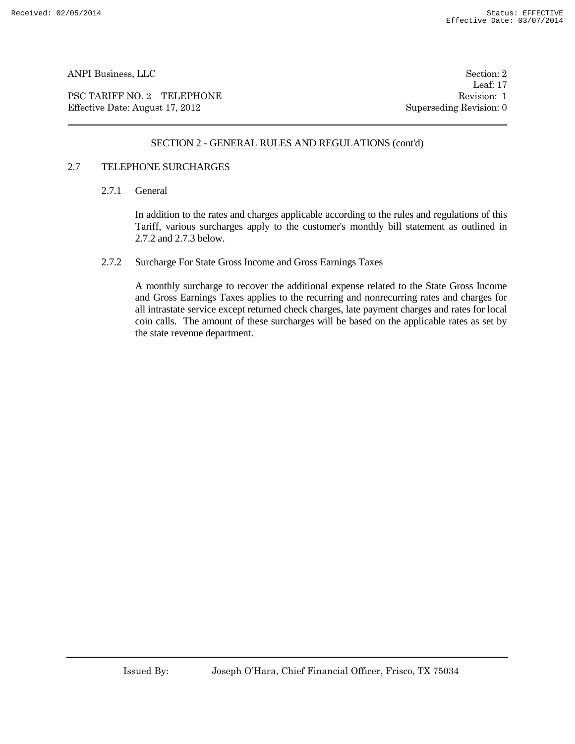PSC TARIFF NO. 2 – TELEPHONE Revision: 1 Effective Date: August 17, 2012 Superseding Revision: 0

Leaf: 17

# SECTION 2 - GENERAL RULES AND REGULATIONS (cont'd)

### 2.7 TELEPHONE SURCHARGES

2.7.1 General

In addition to the rates and charges applicable according to the rules and regulations of this Tariff, various surcharges apply to the customer's monthly bill statement as outlined in 2.7.2 and 2.7.3 below.

2.7.2 Surcharge For State Gross Income and Gross Earnings Taxes

A monthly surcharge to recover the additional expense related to the State Gross Income and Gross Earnings Taxes applies to the recurring and nonrecurring rates and charges for all intrastate service except returned check charges, late payment charges and rates for local coin calls. The amount of these surcharges will be based on the applicable rates as set by the state revenue department.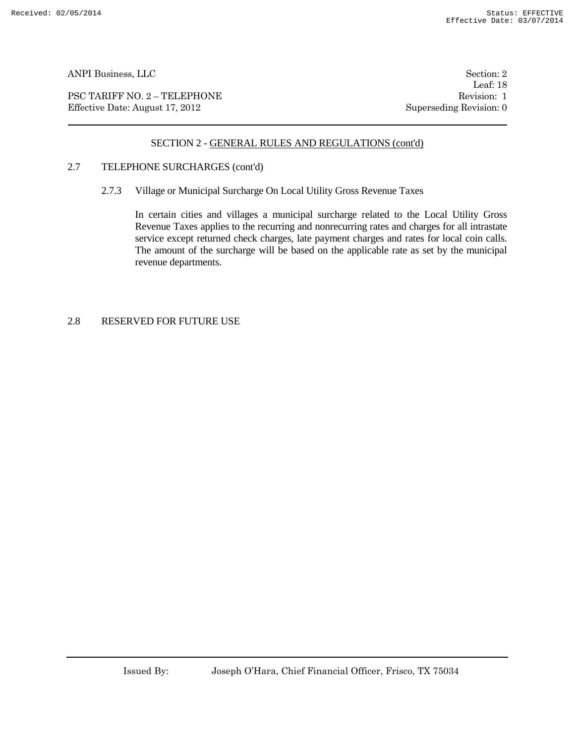PSC TARIFF NO. 2 – TELEPHONE Revision: 1 Effective Date: August 17, 2012 Superseding Revision: 0

Leaf: 18

# SECTION 2 - GENERAL RULES AND REGULATIONS (cont'd)

# 2.7 TELEPHONE SURCHARGES (cont'd)

2.7.3 Village or Municipal Surcharge On Local Utility Gross Revenue Taxes

In certain cities and villages a municipal surcharge related to the Local Utility Gross Revenue Taxes applies to the recurring and nonrecurring rates and charges for all intrastate service except returned check charges, late payment charges and rates for local coin calls. The amount of the surcharge will be based on the applicable rate as set by the municipal revenue departments.

# 2.8 RESERVED FOR FUTURE USE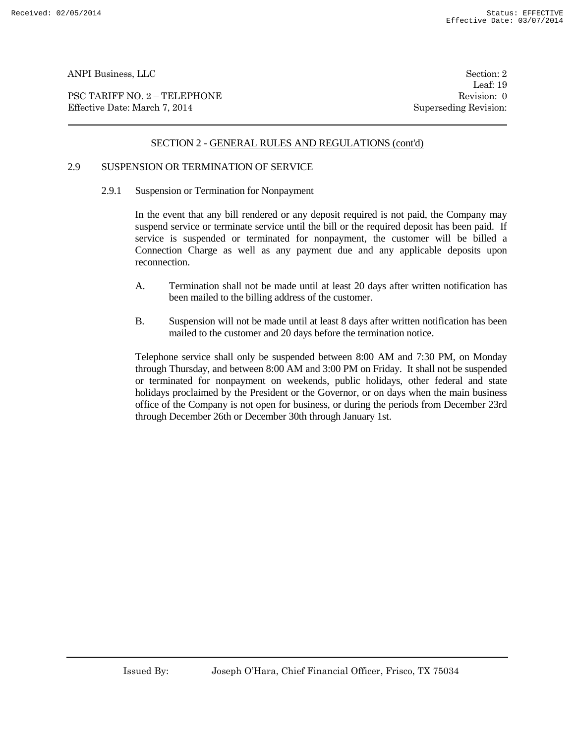PSC TARIFF NO. 2 – TELEPHONE Revision: 0 Effective Date: March 7, 2014 Superseding Revision:

Leaf: 19

# SECTION 2 - GENERAL RULES AND REGULATIONS (cont'd)

# 2.9 SUSPENSION OR TERMINATION OF SERVICE

2.9.1 Suspension or Termination for Nonpayment

In the event that any bill rendered or any deposit required is not paid, the Company may suspend service or terminate service until the bill or the required deposit has been paid. If service is suspended or terminated for nonpayment, the customer will be billed a Connection Charge as well as any payment due and any applicable deposits upon reconnection.

- A. Termination shall not be made until at least 20 days after written notification has been mailed to the billing address of the customer.
- B. Suspension will not be made until at least 8 days after written notification has been mailed to the customer and 20 days before the termination notice.

Telephone service shall only be suspended between 8:00 AM and 7:30 PM, on Monday through Thursday, and between 8:00 AM and 3:00 PM on Friday. It shall not be suspended or terminated for nonpayment on weekends, public holidays, other federal and state holidays proclaimed by the President or the Governor, or on days when the main business office of the Company is not open for business, or during the periods from December 23rd through December 26th or December 30th through January 1st.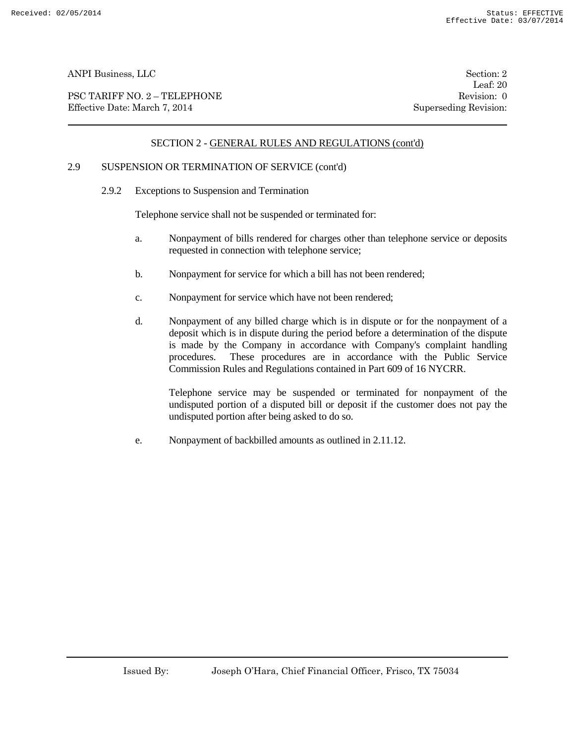PSC TARIFF NO. 2 – TELEPHONE Revision: 0<br>
Effective Date: March 7, 2014 Superseding Revision: 0 Effective Date: March 7, 2014

Leaf: 20

# SECTION 2 - GENERAL RULES AND REGULATIONS (cont'd)

# 2.9 SUSPENSION OR TERMINATION OF SERVICE (cont'd)

2.9.2 Exceptions to Suspension and Termination

Telephone service shall not be suspended or terminated for:

- a. Nonpayment of bills rendered for charges other than telephone service or deposits requested in connection with telephone service;
- b. Nonpayment for service for which a bill has not been rendered;
- c. Nonpayment for service which have not been rendered;
- d. Nonpayment of any billed charge which is in dispute or for the nonpayment of a deposit which is in dispute during the period before a determination of the dispute is made by the Company in accordance with Company's complaint handling procedures. These procedures are in accordance with the Public Service Commission Rules and Regulations contained in Part 609 of 16 NYCRR.

Telephone service may be suspended or terminated for nonpayment of the undisputed portion of a disputed bill or deposit if the customer does not pay the undisputed portion after being asked to do so.

e. Nonpayment of backbilled amounts as outlined in 2.11.12.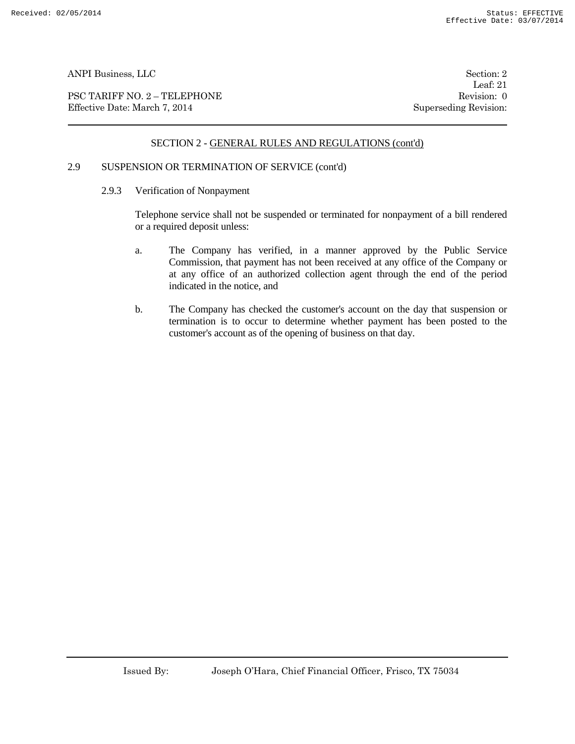PSC TARIFF NO. 2 – TELEPHONE Revision: 0 Effective Date: March 7, 2014 Superseding Revision:

Leaf: 21

# SECTION 2 - GENERAL RULES AND REGULATIONS (cont'd)

### 2.9 SUSPENSION OR TERMINATION OF SERVICE (cont'd)

2.9.3 Verification of Nonpayment

Telephone service shall not be suspended or terminated for nonpayment of a bill rendered or a required deposit unless:

- a. The Company has verified, in a manner approved by the Public Service Commission, that payment has not been received at any office of the Company or at any office of an authorized collection agent through the end of the period indicated in the notice, and
- b. The Company has checked the customer's account on the day that suspension or termination is to occur to determine whether payment has been posted to the customer's account as of the opening of business on that day.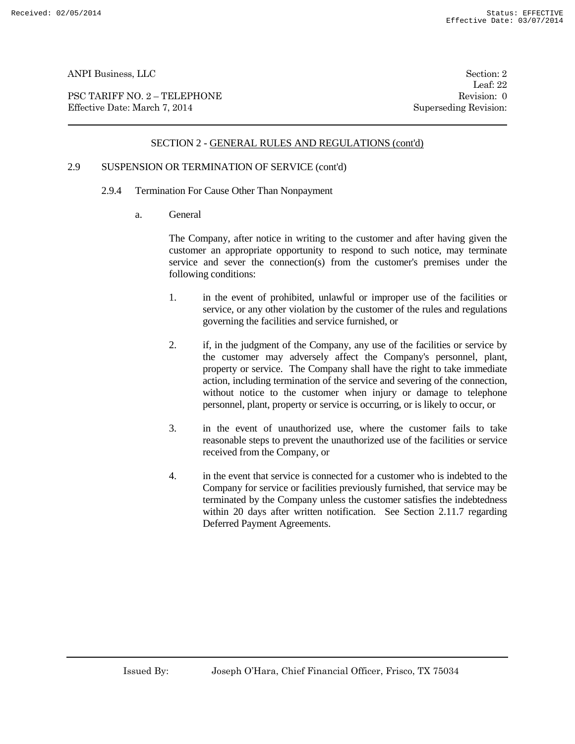PSC TARIFF NO. 2 – TELEPHONE Revision: 0 Effective Date: March 7, 2014 Superseding Revision:

Leaf: 22

# SECTION 2 - GENERAL RULES AND REGULATIONS (cont'd)

# 2.9 SUSPENSION OR TERMINATION OF SERVICE (cont'd)

- 2.9.4 Termination For Cause Other Than Nonpayment
	- a. General

The Company, after notice in writing to the customer and after having given the customer an appropriate opportunity to respond to such notice, may terminate service and sever the connection(s) from the customer's premises under the following conditions:

- 1. in the event of prohibited, unlawful or improper use of the facilities or service, or any other violation by the customer of the rules and regulations governing the facilities and service furnished, or
- 2. if, in the judgment of the Company, any use of the facilities or service by the customer may adversely affect the Company's personnel, plant, property or service. The Company shall have the right to take immediate action, including termination of the service and severing of the connection, without notice to the customer when injury or damage to telephone personnel, plant, property or service is occurring, or is likely to occur, or
- 3. in the event of unauthorized use, where the customer fails to take reasonable steps to prevent the unauthorized use of the facilities or service received from the Company, or
- 4. in the event that service is connected for a customer who is indebted to the Company for service or facilities previously furnished, that service may be terminated by the Company unless the customer satisfies the indebtedness within 20 days after written notification. See Section 2.11.7 regarding Deferred Payment Agreements.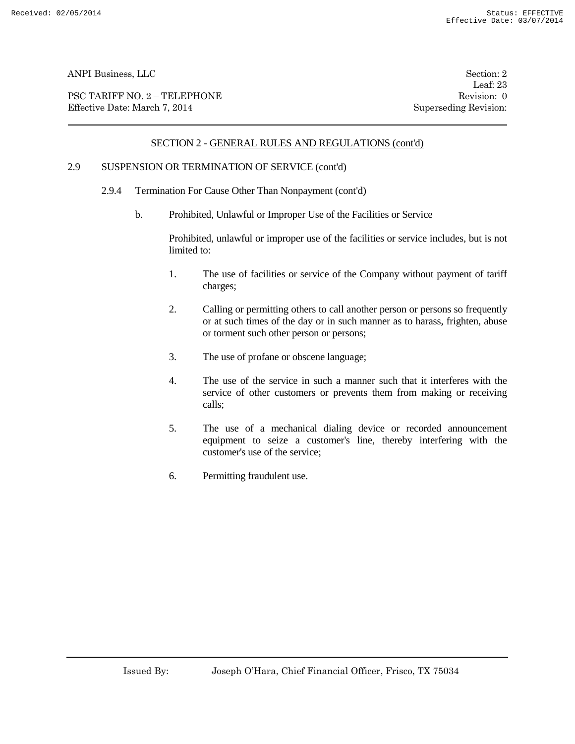PSC TARIFF NO. 2 – TELEPHONE Revision: 0 Effective Date: March 7, 2014 Superseding Revision:

Leaf: 23

# SECTION 2 - GENERAL RULES AND REGULATIONS (cont'd)

# 2.9 SUSPENSION OR TERMINATION OF SERVICE (cont'd)

- 2.9.4 Termination For Cause Other Than Nonpayment (cont'd)
	- b. Prohibited, Unlawful or Improper Use of the Facilities or Service

Prohibited, unlawful or improper use of the facilities or service includes, but is not limited to:

- 1. The use of facilities or service of the Company without payment of tariff charges;
- 2. Calling or permitting others to call another person or persons so frequently or at such times of the day or in such manner as to harass, frighten, abuse or torment such other person or persons;
- 3. The use of profane or obscene language;
- 4. The use of the service in such a manner such that it interferes with the service of other customers or prevents them from making or receiving calls;
- 5. The use of a mechanical dialing device or recorded announcement equipment to seize a customer's line, thereby interfering with the customer's use of the service;
- 6. Permitting fraudulent use.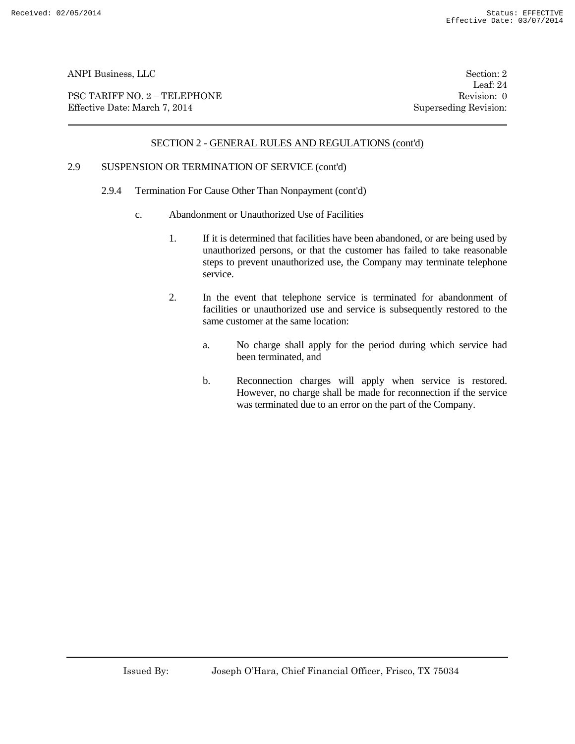PSC TARIFF NO. 2 – TELEPHONE Revision: 0 Effective Date: March 7, 2014 Superseding Revision:

Leaf: 24

# SECTION 2 - GENERAL RULES AND REGULATIONS (cont'd)

### 2.9 SUSPENSION OR TERMINATION OF SERVICE (cont'd)

- 2.9.4 Termination For Cause Other Than Nonpayment (cont'd)
	- c. Abandonment or Unauthorized Use of Facilities
		- 1. If it is determined that facilities have been abandoned, or are being used by unauthorized persons, or that the customer has failed to take reasonable steps to prevent unauthorized use, the Company may terminate telephone service.
		- 2. In the event that telephone service is terminated for abandonment of facilities or unauthorized use and service is subsequently restored to the same customer at the same location:
			- a. No charge shall apply for the period during which service had been terminated, and
			- b. Reconnection charges will apply when service is restored. However, no charge shall be made for reconnection if the service was terminated due to an error on the part of the Company.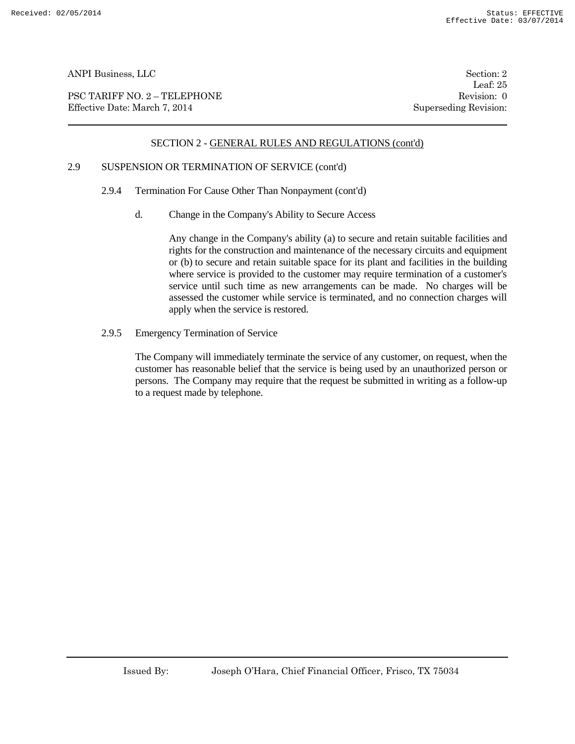PSC TARIFF NO. 2 – TELEPHONE Revision: 0<br>
Effective Date: March 7, 2014 Superseding Revision: 0 Effective Date: March 7, 2014

Leaf: 25

# SECTION 2 - GENERAL RULES AND REGULATIONS (cont'd)

# 2.9 SUSPENSION OR TERMINATION OF SERVICE (cont'd)

- 2.9.4 Termination For Cause Other Than Nonpayment (cont'd)
	- d. Change in the Company's Ability to Secure Access

Any change in the Company's ability (a) to secure and retain suitable facilities and rights for the construction and maintenance of the necessary circuits and equipment or (b) to secure and retain suitable space for its plant and facilities in the building where service is provided to the customer may require termination of a customer's service until such time as new arrangements can be made. No charges will be assessed the customer while service is terminated, and no connection charges will apply when the service is restored.

2.9.5 Emergency Termination of Service

The Company will immediately terminate the service of any customer, on request, when the customer has reasonable belief that the service is being used by an unauthorized person or persons. The Company may require that the request be submitted in writing as a follow-up to a request made by telephone.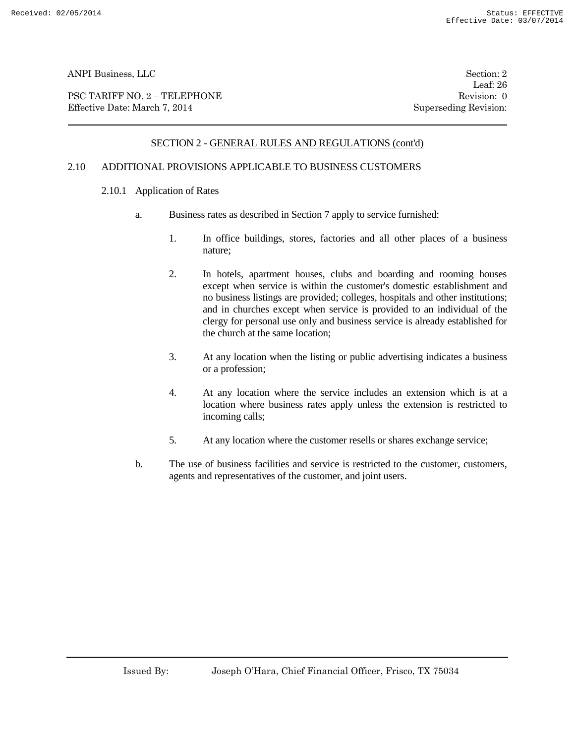PSC TARIFF NO. 2 – TELEPHONE Revision: 0<br>
Effective Date: March 7, 2014 Superseding Revision: 0 Effective Date: March 7, 2014

Leaf: 26

# SECTION 2 - GENERAL RULES AND REGULATIONS (cont'd)

# 2.10 ADDITIONAL PROVISIONS APPLICABLE TO BUSINESS CUSTOMERS

- 2.10.1 Application of Rates
	- a. Business rates as described in Section 7 apply to service furnished:
		- 1. In office buildings, stores, factories and all other places of a business nature;
		- 2. In hotels, apartment houses, clubs and boarding and rooming houses except when service is within the customer's domestic establishment and no business listings are provided; colleges, hospitals and other institutions; and in churches except when service is provided to an individual of the clergy for personal use only and business service is already established for the church at the same location;
		- 3. At any location when the listing or public advertising indicates a business or a profession;
		- 4. At any location where the service includes an extension which is at a location where business rates apply unless the extension is restricted to incoming calls;
		- 5. At any location where the customer resells or shares exchange service;
	- b. The use of business facilities and service is restricted to the customer, customers, agents and representatives of the customer, and joint users.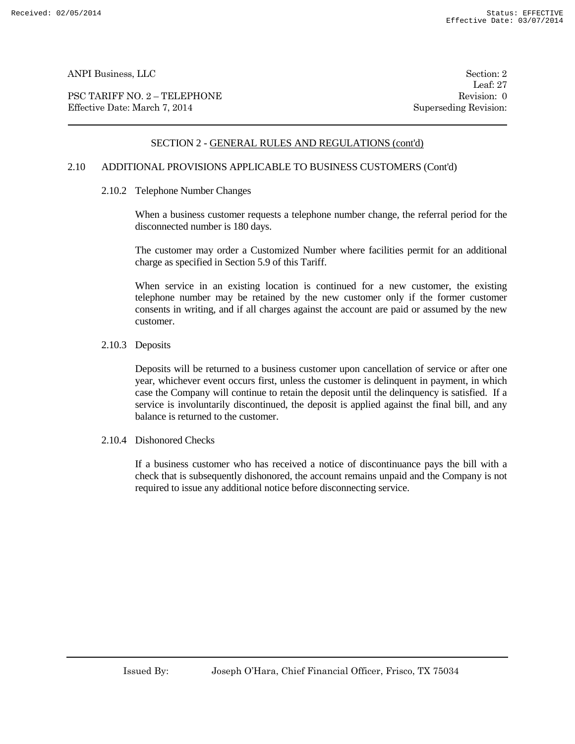PSC TARIFF NO. 2 – TELEPHONE Revision: 0 Effective Date: March 7, 2014 Superseding Revision:

Leaf: 27

# SECTION 2 - GENERAL RULES AND REGULATIONS (cont'd)

# 2.10 ADDITIONAL PROVISIONS APPLICABLE TO BUSINESS CUSTOMERS (Cont'd)

2.10.2 Telephone Number Changes

When a business customer requests a telephone number change, the referral period for the disconnected number is 180 days.

The customer may order a Customized Number where facilities permit for an additional charge as specified in Section 5.9 of this Tariff.

When service in an existing location is continued for a new customer, the existing telephone number may be retained by the new customer only if the former customer consents in writing, and if all charges against the account are paid or assumed by the new customer.

#### 2.10.3 Deposits

Deposits will be returned to a business customer upon cancellation of service or after one year, whichever event occurs first, unless the customer is delinquent in payment, in which case the Company will continue to retain the deposit until the delinquency is satisfied. If a service is involuntarily discontinued, the deposit is applied against the final bill, and any balance is returned to the customer.

2.10.4 Dishonored Checks

If a business customer who has received a notice of discontinuance pays the bill with a check that is subsequently dishonored, the account remains unpaid and the Company is not required to issue any additional notice before disconnecting service.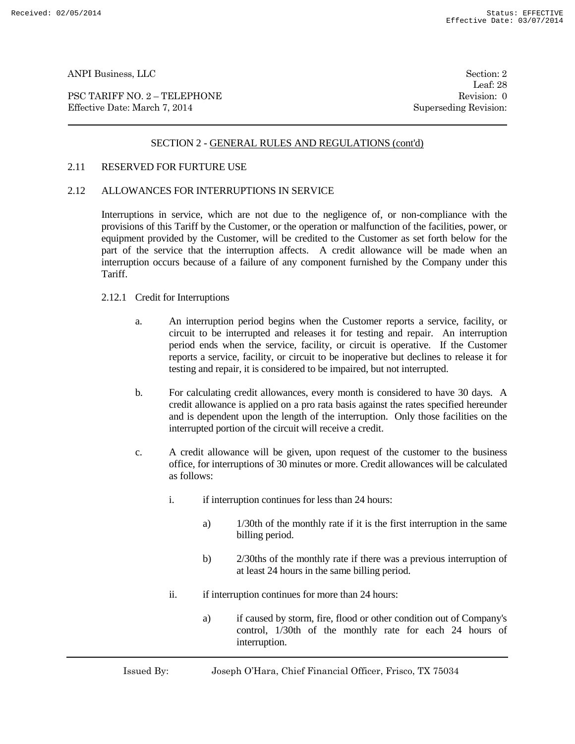PSC TARIFF NO. 2 – TELEPHONE Revision: 0 Effective Date: March 7, 2014 Superseding Revision:

Leaf: 28

# SECTION 2 - GENERAL RULES AND REGULATIONS (cont'd)

#### 2.11 RESERVED FOR FURTURE USE

### 2.12 ALLOWANCES FOR INTERRUPTIONS IN SERVICE

Interruptions in service, which are not due to the negligence of, or non-compliance with the provisions of this Tariff by the Customer, or the operation or malfunction of the facilities, power, or equipment provided by the Customer, will be credited to the Customer as set forth below for the part of the service that the interruption affects. A credit allowance will be made when an interruption occurs because of a failure of any component furnished by the Company under this Tariff.

### 2.12.1 Credit for Interruptions

- a. An interruption period begins when the Customer reports a service, facility, or circuit to be interrupted and releases it for testing and repair. An interruption period ends when the service, facility, or circuit is operative. If the Customer reports a service, facility, or circuit to be inoperative but declines to release it for testing and repair, it is considered to be impaired, but not interrupted.
- b. For calculating credit allowances, every month is considered to have 30 days. A credit allowance is applied on a pro rata basis against the rates specified hereunder and is dependent upon the length of the interruption. Only those facilities on the interrupted portion of the circuit will receive a credit.
- c. A credit allowance will be given, upon request of the customer to the business office, for interruptions of 30 minutes or more. Credit allowances will be calculated as follows:
	- i. if interruption continues for less than 24 hours:
		- a) 1/30th of the monthly rate if it is the first interruption in the same billing period.
		- b) 2/30ths of the monthly rate if there was a previous interruption of at least 24 hours in the same billing period.
	- ii. if interruption continues for more than 24 hours:
		- a) if caused by storm, fire, flood or other condition out of Company's control, 1/30th of the monthly rate for each 24 hours of interruption.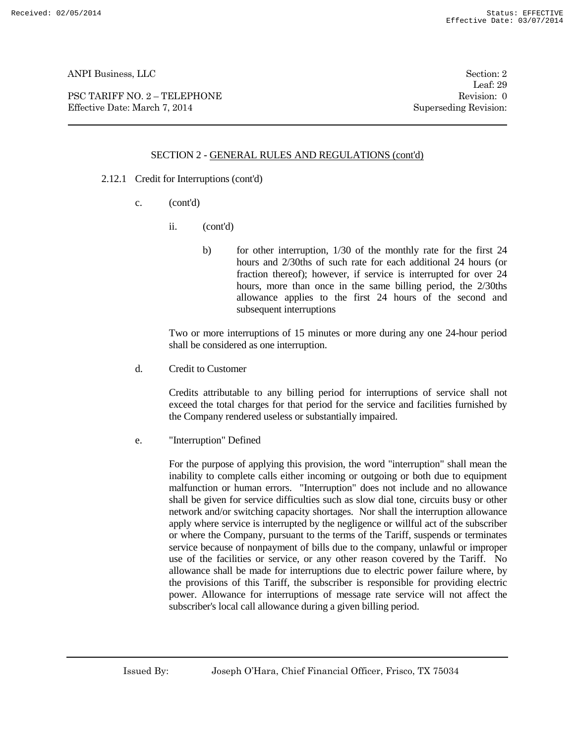PSC TARIFF NO. 2 – TELEPHONE Revision: 0 Effective Date: March 7, 2014 Superseding Revision:

Leaf: 29

# SECTION 2 - GENERAL RULES AND REGULATIONS (cont'd)

- 2.12.1 Credit for Interruptions (cont'd)
	- c. (cont'd)
		- ii. (cont'd)
			- b) for other interruption, 1/30 of the monthly rate for the first 24 hours and 2/30ths of such rate for each additional 24 hours (or fraction thereof); however, if service is interrupted for over 24 hours, more than once in the same billing period, the 2/30ths allowance applies to the first 24 hours of the second and subsequent interruptions

Two or more interruptions of 15 minutes or more during any one 24-hour period shall be considered as one interruption.

d. Credit to Customer

Credits attributable to any billing period for interruptions of service shall not exceed the total charges for that period for the service and facilities furnished by the Company rendered useless or substantially impaired.

e. "Interruption" Defined

For the purpose of applying this provision, the word "interruption" shall mean the inability to complete calls either incoming or outgoing or both due to equipment malfunction or human errors. "Interruption" does not include and no allowance shall be given for service difficulties such as slow dial tone, circuits busy or other network and/or switching capacity shortages. Nor shall the interruption allowance apply where service is interrupted by the negligence or willful act of the subscriber or where the Company, pursuant to the terms of the Tariff, suspends or terminates service because of nonpayment of bills due to the company, unlawful or improper use of the facilities or service, or any other reason covered by the Tariff. No allowance shall be made for interruptions due to electric power failure where, by the provisions of this Tariff, the subscriber is responsible for providing electric power. Allowance for interruptions of message rate service will not affect the subscriber's local call allowance during a given billing period.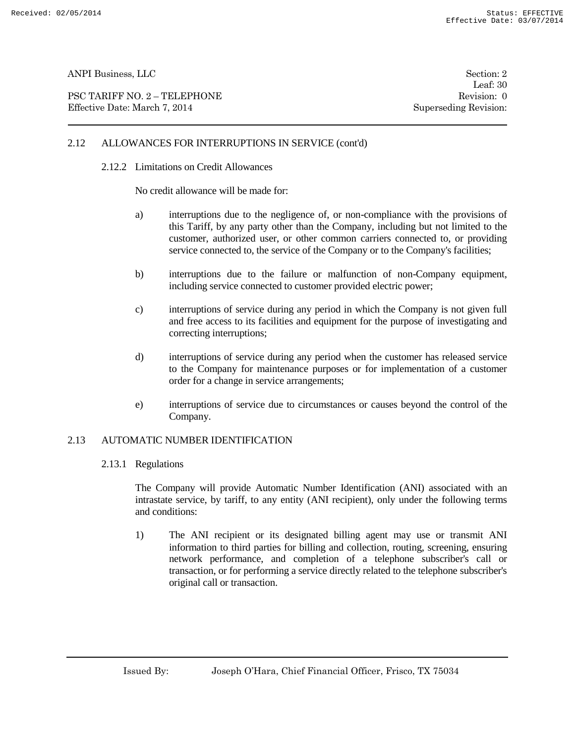PSC TARIFF NO. 2 – TELEPHONE Revision: 0 Effective Date: March 7, 2014 Superseding Revision:

Leaf: 30

# 2.12 ALLOWANCES FOR INTERRUPTIONS IN SERVICE (cont'd)

#### 2.12.2 Limitations on Credit Allowances

No credit allowance will be made for:

- a) interruptions due to the negligence of, or non-compliance with the provisions of this Tariff, by any party other than the Company, including but not limited to the customer, authorized user, or other common carriers connected to, or providing service connected to, the service of the Company or to the Company's facilities;
- b) interruptions due to the failure or malfunction of non-Company equipment, including service connected to customer provided electric power;
- c) interruptions of service during any period in which the Company is not given full and free access to its facilities and equipment for the purpose of investigating and correcting interruptions;
- d) interruptions of service during any period when the customer has released service to the Company for maintenance purposes or for implementation of a customer order for a change in service arrangements;
- e) interruptions of service due to circumstances or causes beyond the control of the Company.

#### 2.13 AUTOMATIC NUMBER IDENTIFICATION

2.13.1 Regulations

The Company will provide Automatic Number Identification (ANI) associated with an intrastate service, by tariff, to any entity (ANI recipient), only under the following terms and conditions:

1) The ANI recipient or its designated billing agent may use or transmit ANI information to third parties for billing and collection, routing, screening, ensuring network performance, and completion of a telephone subscriber's call or transaction, or for performing a service directly related to the telephone subscriber's original call or transaction.